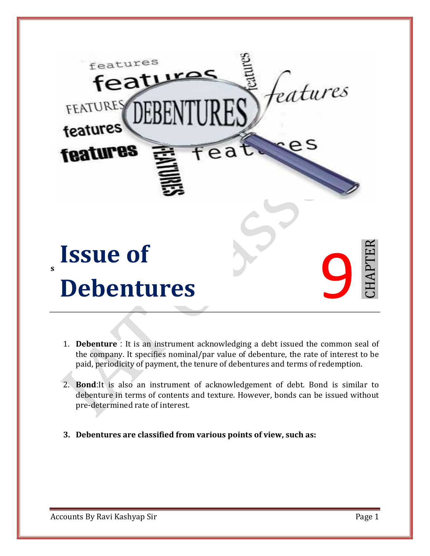

- 1. **Debenture** : It is an instrument acknowledging a debt issued the common seal of the company. It specifies nominal/par value of debenture, the rate of interest to be paid, periodicity of payment, the tenure of debentures and terms of redemption.
- 2. **Bond**:It is also an instrument of acknowledgement of debt. Bond is similar to debenture in terms of contents and texture. However, bonds can be issued without pre-determined rate of interest.
- **3. Debentures are classified from various points of view, such as:**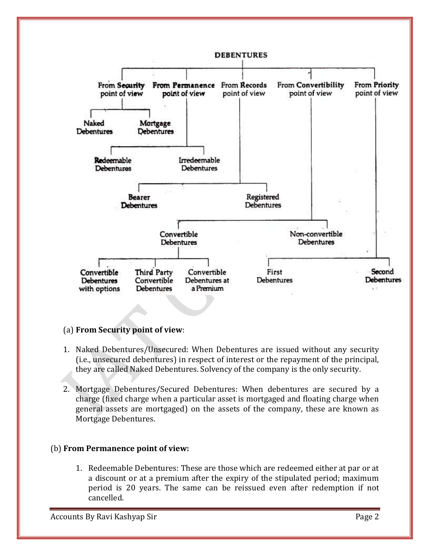

#### (a) **From Security point of view**:

- 1. Naked Debentures/Unsecured: When Debentures are issued without any security (i.e., unsecured debentures) in respect of interest or the repayment of the principal, they are called Naked Debentures. Solvency of the company is the only security.
- 2. Mortgage Debentures/Secured Debentures: When debentures are secured by a charge (fixed charge when a particular asset is mortgaged and floating charge when general assets are mortgaged) on the assets of the company, these are known as Mortgage Debentures.

#### (b) **From Permanence point of view:**

1. Redeemable Debentures: These are those which are redeemed either at par or at a discount or at a premium after the expiry of the stipulated period; maximum period is 20 years. The same can be reissued even after redemption if not cancelled.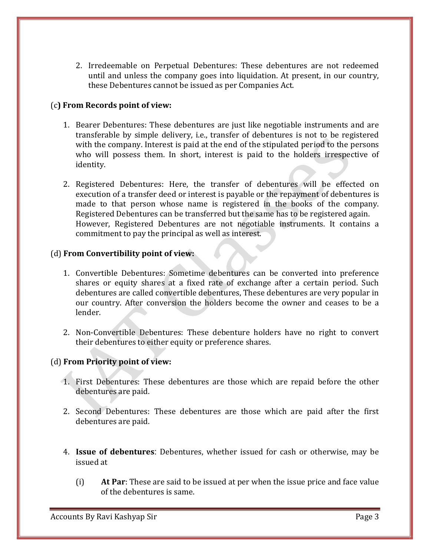2. Irredeemable on Perpetual Debentures: These debentures are not redeemed until and unless the company goes into liquidation. At present, in our country, these Debentures cannot be issued as per Companies Act.

#### (c**) From Records point of view:**

- 1. Bearer Debentures: These debentures are just like negotiable instruments and are transferable by simple delivery, i.e., transfer of debentures is not to be registered with the company. Interest is paid at the end of the stipulated period to the persons who will possess them. In short, interest is paid to the holders irrespective of identity.
- 2. Registered Debentures: Here, the transfer of debentures will be effected on execution of a transfer deed or interest is payable or the repayment of debentures is made to that person whose name is registered in the books of the company. Registered Debentures can be transferred but the same has to be registered again. However, Registered Debentures are not negotiable instruments. It contains a commitment to pay the principal as well as interest.

#### (d) **From Convertibility point of view:**

- 1. Convertible Debentures: Sometime debentures can be converted into preference shares or equity shares at a fixed rate of exchange after a certain period. Such debentures are called convertible debentures, These debentures are very popular in our country. After conversion the holders become the owner and ceases to be a lender.
- 2. Non-Convertible Debentures: These debenture holders have no right to convert their debentures to either equity or preference shares.

#### (d) **From Priority point of view:**

- 1. First Debentures: These debentures are those which are repaid before the other debentures are paid.
- 2. Second Debentures: These debentures are those which are paid after the first debentures are paid.
- 4. **Issue of debentures**: Debentures, whether issued for cash or otherwise, may be issued at
	- (i) **At Par**: These are said to be issued at per when the issue price and face value of the debentures is same.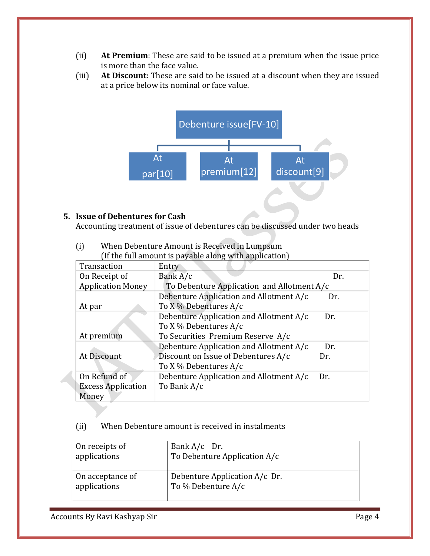- (ii) **At Premium**: These are said to be issued at a premium when the issue price is more than the face value.
- (iii) **At Discount**: These are said to be issued at a discount when they are issued at a price below its nominal or face value.



#### **5. Issue of Debentures for Cash**

Accounting treatment of issue of debentures can be discussed under two heads

|                           | If the full allivant is payable along with application |     |  |
|---------------------------|--------------------------------------------------------|-----|--|
| Transaction               | Entry                                                  |     |  |
| On Receipt of             | Bank A/c                                               | Dr. |  |
| <b>Application Money</b>  | To Debenture Application and Allotment $A/c$           |     |  |
|                           | Debenture Application and Allotment A/c                | Dr. |  |
| At par                    | To X % Debentures A/c                                  |     |  |
|                           | Debenture Application and Allotment A/c                | Dr. |  |
|                           | To X % Debentures A/c                                  |     |  |
| At premium                | To Securities Premium Reserve A/c                      |     |  |
|                           | Debenture Application and Allotment A/c                | Dr. |  |
| At Discount               | Discount on Issue of Debentures A/c                    | Dr. |  |
|                           | To X % Debentures A/c                                  |     |  |
| On Refund of              | Debenture Application and Allotment A/c                | Dr. |  |
| <b>Excess Application</b> | To Bank A/c                                            |     |  |
| Money                     |                                                        |     |  |

(i) When Debenture Amount is Received in Lumpsum (If the full amount is payable along with application)

#### (ii) When Debenture amount is received in instalments

| On receipts of   | Bank $A/c$ Dr.                |
|------------------|-------------------------------|
| applications     | To Debenture Application A/c  |
| On acceptance of | Debenture Application A/c Dr. |
| applications     | To % Debenture A/c            |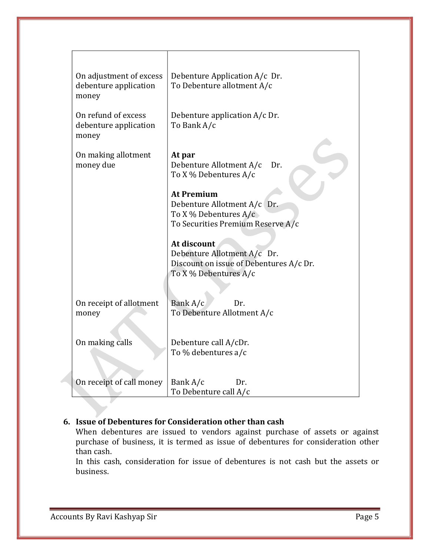| On adjustment of excess<br>debenture application<br>money | Debenture Application A/c Dr.<br>To Debenture allotment A/c       |
|-----------------------------------------------------------|-------------------------------------------------------------------|
| On refund of excess<br>debenture application<br>money     | Debenture application A/c Dr.<br>To Bank A/c                      |
| On making allotment<br>money due                          | At par<br>Debenture Allotment A/c<br>Dr.<br>To X % Debentures A/c |
|                                                           | <b>At Premium</b>                                                 |
|                                                           | Debenture Allotment A/c Dr.                                       |
|                                                           | To X % Debentures $A/c$                                           |
|                                                           | To Securities Premium Reserve A/c                                 |
|                                                           |                                                                   |
|                                                           | At discount                                                       |
|                                                           | Debenture Allotment A/c Dr.                                       |
|                                                           | Discount on issue of Debentures A/c Dr.                           |
|                                                           | To X % Debentures A/c                                             |
|                                                           |                                                                   |
|                                                           | Bank A/c<br>Dr.                                                   |
| On receipt of allotment<br>money                          | To Debenture Allotment A/c                                        |
|                                                           |                                                                   |
|                                                           |                                                                   |
| On making calls                                           | Debenture call A/cDr.                                             |
|                                                           | To % debentures a/c                                               |
|                                                           |                                                                   |
|                                                           |                                                                   |
| On receipt of call money                                  | Bank A/c<br>Dr.                                                   |
|                                                           | To Debenture call A/c                                             |

## **6. Issue of Debentures for Consideration other than cash**

When debentures are issued to vendors against purchase of assets or against purchase of business, it is termed as issue of debentures for consideration other than cash.

In this cash, consideration for issue of debentures is not cash but the assets or business.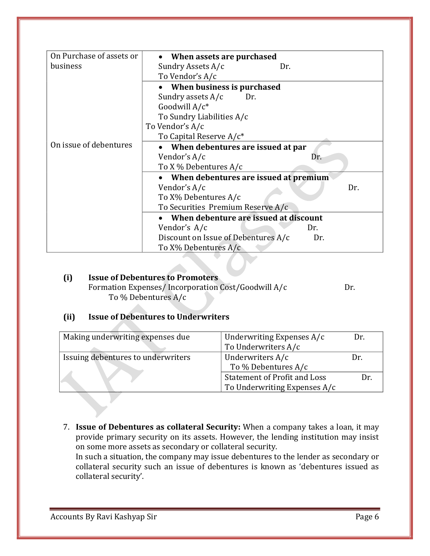| On Purchase of assets or | When assets are purchased                  |  |
|--------------------------|--------------------------------------------|--|
| business                 | Sundry Assets A/c<br>Dr.                   |  |
|                          | To Vendor's A/c                            |  |
|                          | When business is purchased                 |  |
|                          | Sundry assets A/c<br>Dr.                   |  |
|                          | Goodwill $A/c^*$                           |  |
|                          | To Sundry Liabilities A/c                  |  |
|                          | To Vendor's A/c                            |  |
|                          | To Capital Reserve A/c <sup>*</sup>        |  |
| On issue of debentures   | When debentures are issued at par          |  |
|                          | Vendor's A/c<br>Dr.                        |  |
|                          | To X % Debentures A/c                      |  |
|                          | When debentures are issued at premium      |  |
|                          | Vendor's A/c<br>Dr.                        |  |
|                          | To X% Debentures A/c                       |  |
|                          | To Securities Premium Reserve A/c          |  |
|                          | When debenture are issued at discount      |  |
|                          | Vendor's A/c<br>Dr.                        |  |
|                          | Discount on Issue of Debentures A/c<br>Dr. |  |
|                          | To X% Debentures A/c                       |  |

# **(i) Issue of Debentures to Promoters**

Formation Expenses/Incorporation Cost/Goodwill A/c Dr. To % Debentures A/c

## **(ii) Issue of Debentures to Underwriters**

| Making underwriting expenses due   | Underwriting Expenses A/c           | Dr. |
|------------------------------------|-------------------------------------|-----|
|                                    | To Underwriters A/c                 |     |
| Issuing debentures to underwriters | Underwriters A/c                    | Dr. |
|                                    | To % Debentures A/c                 |     |
|                                    | <b>Statement of Profit and Loss</b> | Dr. |
|                                    | To Underwriting Expenses A/c        |     |

7. **Issue of Debentures as collateral Security:** When a company takes a loan, it may provide primary security on its assets. However, the lending institution may insist on some more assets as secondary or collateral security.

In such a situation, the company may issue debentures to the lender as secondary or collateral security such an issue of debentures is known as 'debentures issued as collateral security'.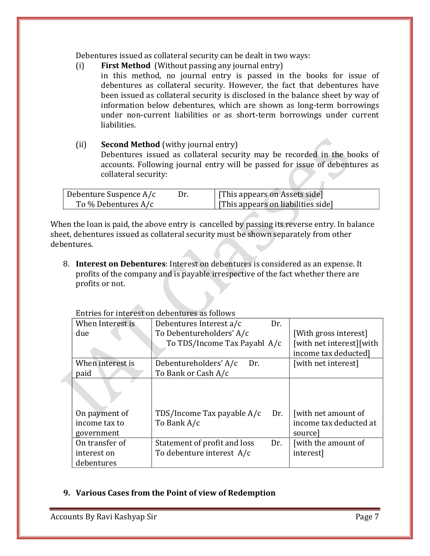Debentures issued as collateral security can be dealt in two ways:

- (i) **First Method** (Without passing any journal entry)
	- in this method, no journal entry is passed in the books for issue of debentures as collateral security. However, the fact that debentures have been issued as collateral security is disclosed in the balance sheet by way of information below debentures, which are shown as long-term borrowings under non-current liabilities or as short-term borrowings under current liabilities.

### (ii) **Second Method** (withy journal entry) Debentures issued as collateral security may be recorded in the books of accounts. Following journal entry will be passed for issue of debentures as collateral security:

| Debenture Suspence A/c | Dr. | [This appears on Assets side]      |
|------------------------|-----|------------------------------------|
| To $\%$ Debentures A/c |     | [This appears on liabilities side] |

When the loan is paid, the above entry is cancelled by passing its reverse entry. In balance sheet, debentures issued as collateral security must be shown separately from other debentures.

8. **Interest on Debentures**: Interest on debentures is considered as an expense. It profits of the company and is payable irrespective of the fact whether there are profits or not.

|                  | LITTLES TOT THEFT EST OIL REDETION ES AS TONOWS |                          |
|------------------|-------------------------------------------------|--------------------------|
| When Interest is | Debentures Interest a/c<br>Dr.                  |                          |
| due              | To Debentureholders' A/c                        | [With gross interest]    |
|                  | To TDS/Income Tax Payabl A/c                    | [with net interest][with |
|                  |                                                 | income tax deducted]     |
| When interest is | Debentureholders' A/c<br>Dr.                    | [with net interest]      |
| paid             | To Bank or Cash A/c                             |                          |
|                  |                                                 |                          |
| On payment of    | TDS/Income Tax payable A/c<br>Dr.               | with net amount of       |
| income tax to    | To Bank A/c                                     | income tax deducted at   |
| government       |                                                 | source                   |
| On transfer of   | Dr.<br>Statement of profit and loss             | [with the amount of      |
| interest on      | To debenture interest A/c                       | interest]                |
| debentures       |                                                 |                          |

Entries for interest on debentures as follows

#### **9. Various Cases from the Point of view of Redemption**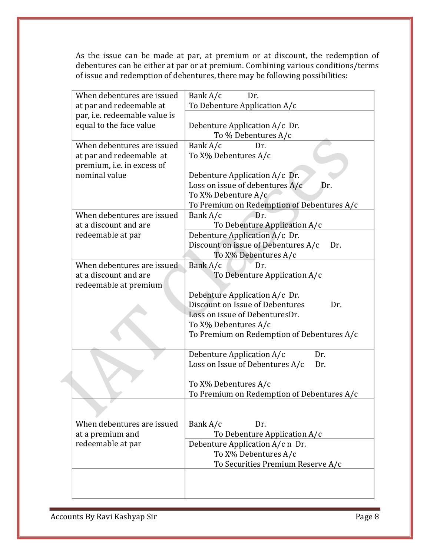As the issue can be made at par, at premium or at discount, the redemption of debentures can be either at par or at premium. Combining various conditions/terms of issue and redemption of debentures, there may be following possibilities:

| When debentures are issued    | Bank A/c<br>Dr.                            |
|-------------------------------|--------------------------------------------|
| at par and redeemable at      | To Debenture Application A/c               |
| par, i.e. redeemable value is |                                            |
| equal to the face value       | Debenture Application A/c Dr.              |
|                               | To % Debentures A/c                        |
| When debentures are issued    | Bank A/c<br>Dr.                            |
| at par and redeemable at      | To X% Debentures A/c                       |
| premium, i.e. in excess of    |                                            |
| nominal value                 | Debenture Application A/c Dr.              |
|                               | Loss on issue of debentures A/c<br>Dr.     |
|                               | To X% Debenture A/c                        |
|                               | To Premium on Redemption of Debentures A/c |
| When debentures are issued    | Dr.<br>Bank A/c                            |
| at a discount and are         | To Debenture Application A/c               |
|                               |                                            |
| redeemable at par             | Debenture Application A/c Dr.              |
|                               | Discount on issue of Debentures A/c<br>Dr. |
|                               | To X% Debentures A/c                       |
| When debentures are issued    | Bank A/c<br>Dr.                            |
| at a discount and are         | To Debenture Application A/c               |
| redeemable at premium         |                                            |
|                               | Debenture Application A/c Dr.              |
|                               | Discount on Issue of Debentures<br>Dr.     |
|                               | Loss on issue of DebenturesDr.             |
|                               | To X% Debentures A/c                       |
|                               | To Premium on Redemption of Debentures A/c |
|                               |                                            |
|                               | Debenture Application A/c<br>Dr.           |
|                               | Loss on Issue of Debentures A/c<br>Dr.     |
|                               |                                            |
|                               | To X% Debentures A/c                       |
|                               | To Premium on Redemption of Debentures A/c |
|                               |                                            |
|                               |                                            |
| When debentures are issued    | Bank A/c<br>Dr.                            |
| at a premium and              | To Debenture Application A/c               |
| redeemable at par             | Debenture Application A/c n Dr.            |
|                               | To X% Debentures A/c                       |
|                               |                                            |
|                               | To Securities Premium Reserve A/c          |
|                               |                                            |
|                               |                                            |
|                               |                                            |